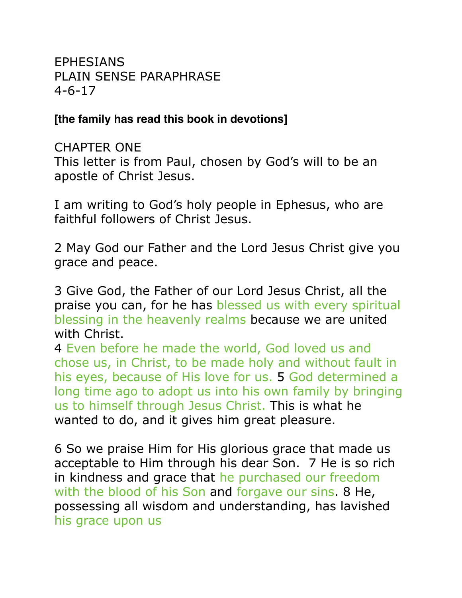EPHESIANS PLAIN SENSE PARAPHRASE 4-6-17

#### **[the family has read this book in devotions]**

CHAPTER ONE This letter is from Paul, chosen by God's will to be an apostle of Christ Jesus.

I am writing to God's holy people in Ephesus, who are faithful followers of Christ Jesus.

2 May God our Father and the Lord Jesus Christ give you grace and peace.

3 Give God, the Father of our Lord Jesus Christ, all the praise you can, for he has blessed us with every spiritual blessing in the heavenly realms because we are united with Christ.

4 Even before he made the world, God loved us and chose us, in Christ, to be made holy and without fault in his eyes, because of His love for us. 5 God determined a long time ago to adopt us into his own family by bringing us to himself through Jesus Christ. This is what he wanted to do, and it gives him great pleasure.

6 So we praise Him for His glorious grace that made us acceptable to Him through his dear Son. 7 He is so rich in kindness and grace that he purchased our freedom with the blood of his Son and forgave our sins. 8 He, possessing all wisdom and understanding, has lavished his grace upon us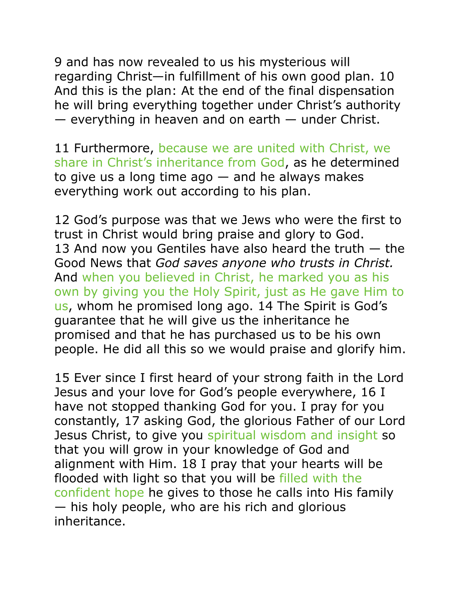9 and has now revealed to us his mysterious will regarding Christ—in fulfillment of his own good plan. 10 And this is the plan: At the end of the final dispensation he will bring everything together under Christ's authority — everything in heaven and on earth — under Christ.

11 Furthermore, because we are united with Christ, we share in Christ's inheritance from God, as he determined to give us a long time  $ago - and$  he always makes everything work out according to his plan.

12 God's purpose was that we Jews who were the first to trust in Christ would bring praise and glory to God. 13 And now you Gentiles have also heard the truth  $-$  the Good News that *God saves anyone who trusts in Christ.* And when you believed in Christ, he marked you as his own by giving you the Holy Spirit, just as He gave Him to us, whom he promised long ago. 14 The Spirit is God's guarantee that he will give us the inheritance he promised and that he has purchased us to be his own people. He did all this so we would praise and glorify him.

15 Ever since I first heard of your strong faith in the Lord Jesus and your love for God's people everywhere, 16 I have not stopped thanking God for you. I pray for you constantly, 17 asking God, the glorious Father of our Lord Jesus Christ, to give you spiritual wisdom and insight so that you will grow in your knowledge of God and alignment with Him. 18 I pray that your hearts will be flooded with light so that you will be filled with the confident hope he gives to those he calls into His family — his holy people, who are his rich and glorious inheritance.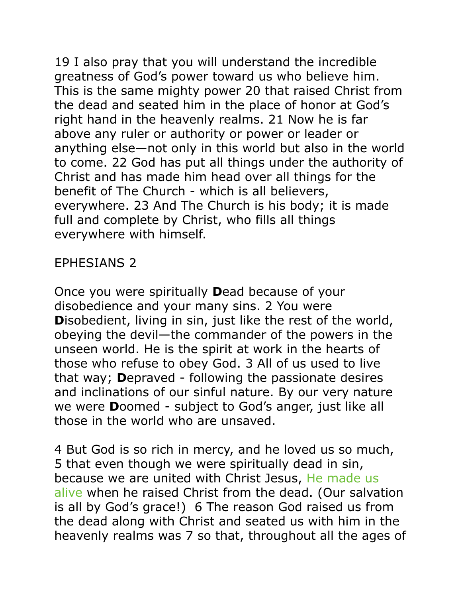19 I also pray that you will understand the incredible greatness of God's power toward us who believe him. This is the same mighty power 20 that raised Christ from the dead and seated him in the place of honor at God's right hand in the heavenly realms. 21 Now he is far above any ruler or authority or power or leader or anything else—not only in this world but also in the world to come. 22 God has put all things under the authority of Christ and has made him head over all things for the benefit of The Church - which is all believers, everywhere. 23 And The Church is his body; it is made full and complete by Christ, who fills all things everywhere with himself.

## EPHESIANS 2

Once you were spiritually **D**ead because of your disobedience and your many sins. 2 You were **D**isobedient, living in sin, just like the rest of the world, obeying the devil—the commander of the powers in the unseen world. He is the spirit at work in the hearts of those who refuse to obey God. 3 All of us used to live that way; **D**epraved - following the passionate desires and inclinations of our sinful nature. By our very nature we were **D**oomed - subject to God's anger, just like all those in the world who are unsaved.

4 But God is so rich in mercy, and he loved us so much, 5 that even though we were spiritually dead in sin, because we are united with Christ Jesus, He made us alive when he raised Christ from the dead. (Our salvation is all by God's grace!) 6 The reason God raised us from the dead along with Christ and seated us with him in the heavenly realms was 7 so that, throughout all the ages of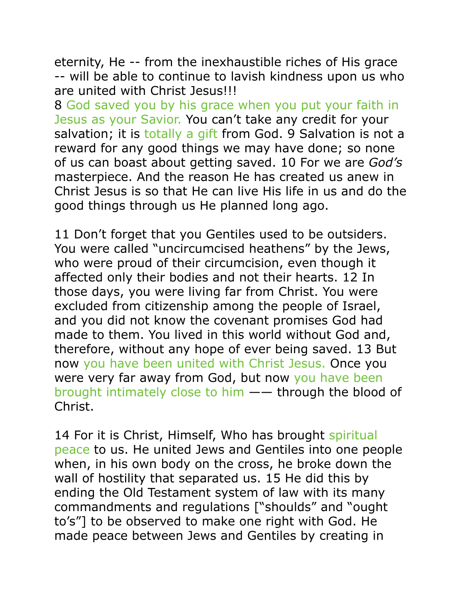eternity, He -- from the inexhaustible riches of His grace -- will be able to continue to lavish kindness upon us who are united with Christ Jesus!!!

8 God saved you by his grace when you put your faith in Jesus as your Savior. You can't take any credit for your salvation; it is totally a gift from God. 9 Salvation is not a reward for any good things we may have done; so none of us can boast about getting saved. 10 For we are *God's* masterpiece. And the reason He has created us anew in Christ Jesus is so that He can live His life in us and do the good things through us He planned long ago.

11 Don't forget that you Gentiles used to be outsiders. You were called "uncircumcised heathens" by the Jews, who were proud of their circumcision, even though it affected only their bodies and not their hearts. 12 In those days, you were living far from Christ. You were excluded from citizenship among the people of Israel, and you did not know the covenant promises God had made to them. You lived in this world without God and, therefore, without any hope of ever being saved. 13 But now you have been united with Christ Jesus. Once you were very far away from God, but now you have been brought intimately close to him —— through the blood of Christ.

14 For it is Christ, Himself, Who has brought spiritual peace to us. He united Jews and Gentiles into one people when, in his own body on the cross, he broke down the wall of hostility that separated us. 15 He did this by ending the Old Testament system of law with its many commandments and regulations ["shoulds" and "ought to's"] to be observed to make one right with God. He made peace between Jews and Gentiles by creating in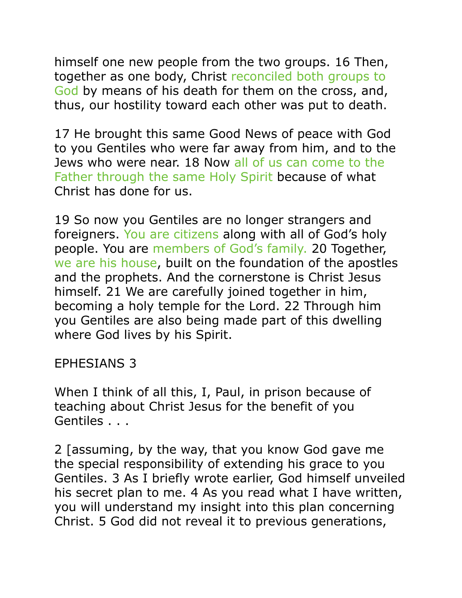himself one new people from the two groups. 16 Then, together as one body, Christ reconciled both groups to God by means of his death for them on the cross, and, thus, our hostility toward each other was put to death.

17 He brought this same Good News of peace with God to you Gentiles who were far away from him, and to the Jews who were near. 18 Now all of us can come to the Father through the same Holy Spirit because of what Christ has done for us.

19 So now you Gentiles are no longer strangers and foreigners. You are citizens along with all of God's holy people. You are members of God's family. 20 Together, we are his house, built on the foundation of the apostles and the prophets. And the cornerstone is Christ Jesus himself. 21 We are carefully joined together in him, becoming a holy temple for the Lord. 22 Through him you Gentiles are also being made part of this dwelling where God lives by his Spirit.

#### EPHESIANS 3

When I think of all this, I, Paul, in prison because of teaching about Christ Jesus for the benefit of you Gentiles . . .

2 [assuming, by the way, that you know God gave me the special responsibility of extending his grace to you Gentiles. 3 As I briefly wrote earlier, God himself unveiled his secret plan to me. 4 As you read what I have written, you will understand my insight into this plan concerning Christ. 5 God did not reveal it to previous generations,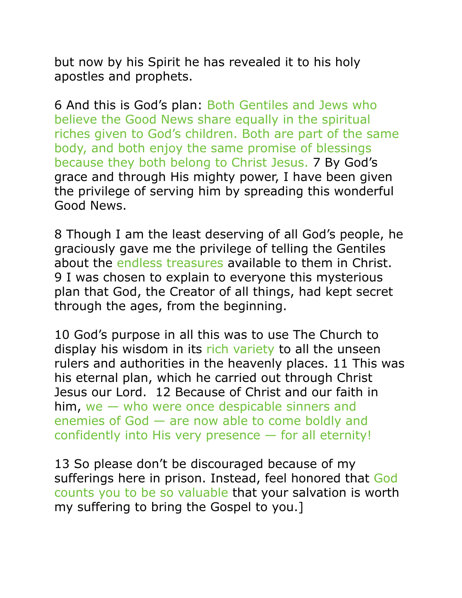but now by his Spirit he has revealed it to his holy apostles and prophets.

6 And this is God's plan: Both Gentiles and Jews who believe the Good News share equally in the spiritual riches given to God's children. Both are part of the same body, and both enjoy the same promise of blessings because they both belong to Christ Jesus. 7 By God's grace and through His mighty power, I have been given the privilege of serving him by spreading this wonderful Good News.

8 Though I am the least deserving of all God's people, he graciously gave me the privilege of telling the Gentiles about the endless treasures available to them in Christ. 9 I was chosen to explain to everyone this mysterious plan that God, the Creator of all things, had kept secret through the ages, from the beginning.

10 God's purpose in all this was to use The Church to display his wisdom in its rich variety to all the unseen rulers and authorities in the heavenly places. 11 This was his eternal plan, which he carried out through Christ Jesus our Lord. 12 Because of Christ and our faith in him, we — who were once despicable sinners and enemies of God — are now able to come boldly and confidently into His very presence — for all eternity!

13 So please don't be discouraged because of my sufferings here in prison. Instead, feel honored that God counts you to be so valuable that your salvation is worth my suffering to bring the Gospel to you.]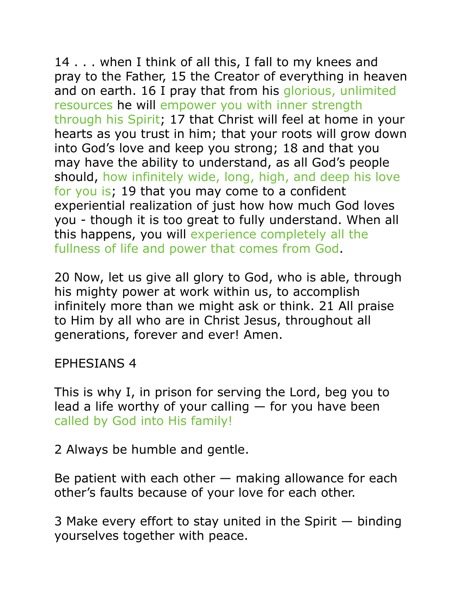14 . . . when I think of all this, I fall to my knees and pray to the Father, 15 the Creator of everything in heaven and on earth. 16 I pray that from his glorious, unlimited resources he will empower you with inner strength through his Spirit; 17 that Christ will feel at home in your hearts as you trust in him; that your roots will grow down into God's love and keep you strong; 18 and that you may have the ability to understand, as all God's people should, how infinitely wide, long, high, and deep his love for you is; 19 that you may come to a confident experiential realization of just how how much God loves you - though it is too great to fully understand. When all this happens, you will experience completely all the fullness of life and power that comes from God.

20 Now, let us give all glory to God, who is able, through his mighty power at work within us, to accomplish infinitely more than we might ask or think. 21 All praise to Him by all who are in Christ Jesus, throughout all generations, forever and ever! Amen.

## EPHESIANS 4

This is why I, in prison for serving the Lord, beg you to lead a life worthy of your calling  $-$  for you have been called by God into His family!

2 Always be humble and gentle.

Be patient with each other  $-$  making allowance for each other's faults because of your love for each other.

3 Make every effort to stay united in the Spirit — binding yourselves together with peace.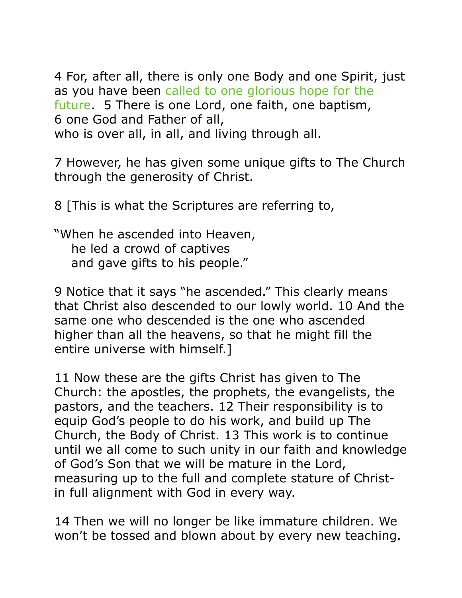4 For, after all, there is only one Body and one Spirit, just as you have been called to one glorious hope for the future. 5 There is one Lord, one faith, one baptism, 6 one God and Father of all, who is over all, in all, and living through all.

7 However, he has given some unique gifts to The Church through the generosity of Christ.

8 [This is what the Scriptures are referring to,

"When he ascended into Heaven, he led a crowd of captives and gave gifts to his people."

9 Notice that it says "he ascended." This clearly means that Christ also descended to our lowly world. 10 And the same one who descended is the one who ascended higher than all the heavens, so that he might fill the entire universe with himself.]

11 Now these are the gifts Christ has given to The Church: the apostles, the prophets, the evangelists, the pastors, and the teachers. 12 Their responsibility is to equip God's people to do his work, and build up The Church, the Body of Christ. 13 This work is to continue until we all come to such unity in our faith and knowledge of God's Son that we will be mature in the Lord, measuring up to the full and complete stature of Christin full alignment with God in every way.

14 Then we will no longer be like immature children. We won't be tossed and blown about by every new teaching.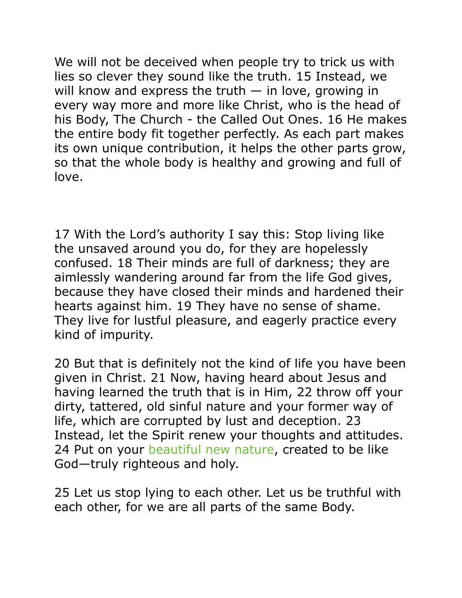We will not be deceived when people try to trick us with lies so clever they sound like the truth. 15 Instead, we will know and express the truth  $-$  in love, growing in every way more and more like Christ, who is the head of his Body, The Church - the Called Out Ones. 16 He makes the entire body fit together perfectly. As each part makes its own unique contribution, it helps the other parts grow, so that the whole body is healthy and growing and full of love.

17 With the Lord's authority I say this: Stop living like the unsaved around you do, for they are hopelessly confused. 18 Their minds are full of darkness; they are aimlessly wandering around far from the life God gives, because they have closed their minds and hardened their hearts against him. 19 They have no sense of shame. They live for lustful pleasure, and eagerly practice every kind of impurity.

20 But that is definitely not the kind of life you have been given in Christ. 21 Now, having heard about Jesus and having learned the truth that is in Him, 22 throw off your dirty, tattered, old sinful nature and your former way of life, which are corrupted by lust and deception. 23 Instead, let the Spirit renew your thoughts and attitudes. 24 Put on your beautiful new nature, created to be like God—truly righteous and holy.

25 Let us stop lying to each other. Let us be truthful with each other, for we are all parts of the same Body.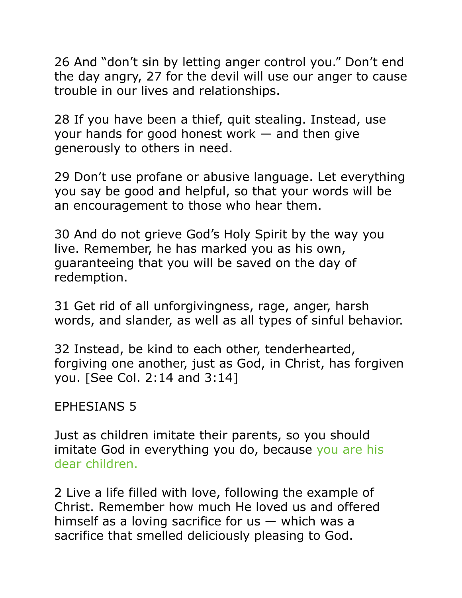26 And "don't sin by letting anger control you." Don't end the day angry, 27 for the devil will use our anger to cause trouble in our lives and relationships.

28 If you have been a thief, quit stealing. Instead, use your hands for good honest work — and then give generously to others in need.

29 Don't use profane or abusive language. Let everything you say be good and helpful, so that your words will be an encouragement to those who hear them.

30 And do not grieve God's Holy Spirit by the way you live. Remember, he has marked you as his own, guaranteeing that you will be saved on the day of redemption.

31 Get rid of all unforgivingness, rage, anger, harsh words, and slander, as well as all types of sinful behavior.

32 Instead, be kind to each other, tenderhearted, forgiving one another, just as God, in Christ, has forgiven you. [See Col. 2:14 and 3:14]

## EPHESIANS 5

Just as children imitate their parents, so you should imitate God in everything you do, because you are his dear children.

2 Live a life filled with love, following the example of Christ. Remember how much He loved us and offered himself as a loving sacrifice for  $us -$  which was a sacrifice that smelled deliciously pleasing to God.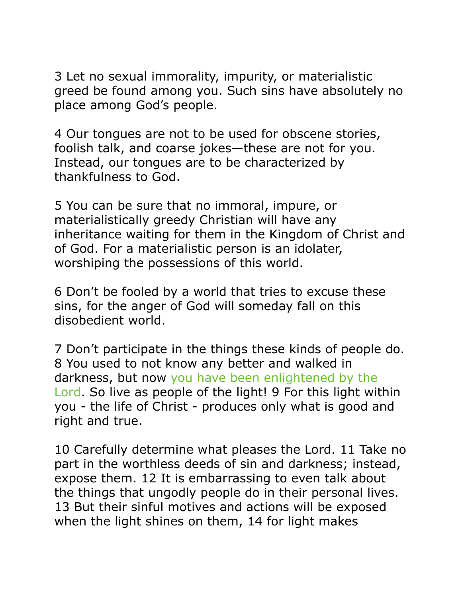3 Let no sexual immorality, impurity, or materialistic greed be found among you. Such sins have absolutely no place among God's people.

4 Our tongues are not to be used for obscene stories, foolish talk, and coarse jokes—these are not for you. Instead, our tongues are to be characterized by thankfulness to God.

5 You can be sure that no immoral, impure, or materialistically greedy Christian will have any inheritance waiting for them in the Kingdom of Christ and of God. For a materialistic person is an idolater, worshiping the possessions of this world.

6 Don't be fooled by a world that tries to excuse these sins, for the anger of God will someday fall on this disobedient world.

7 Don't participate in the things these kinds of people do. 8 You used to not know any better and walked in darkness, but now you have been enlightened by the Lord. So live as people of the light! 9 For this light within you - the life of Christ - produces only what is good and right and true.

10 Carefully determine what pleases the Lord. 11 Take no part in the worthless deeds of sin and darkness; instead, expose them. 12 It is embarrassing to even talk about the things that ungodly people do in their personal lives. 13 But their sinful motives and actions will be exposed when the light shines on them, 14 for light makes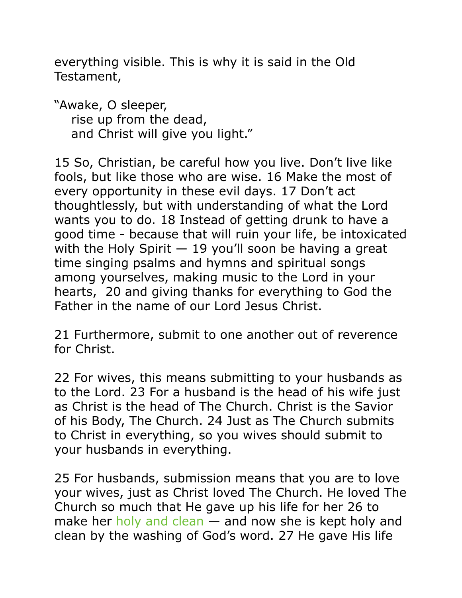everything visible. This is why it is said in the Old Testament,

"Awake, O sleeper, rise up from the dead, and Christ will give you light."

15 So, Christian, be careful how you live. Don't live like fools, but like those who are wise. 16 Make the most of every opportunity in these evil days. 17 Don't act thoughtlessly, but with understanding of what the Lord wants you to do. 18 Instead of getting drunk to have a good time - because that will ruin your life, be intoxicated with the Holy Spirit  $-19$  you'll soon be having a great time singing psalms and hymns and spiritual songs among yourselves, making music to the Lord in your hearts, 20 and giving thanks for everything to God the Father in the name of our Lord Jesus Christ.

21 Furthermore, submit to one another out of reverence for Christ.

22 For wives, this means submitting to your husbands as to the Lord. 23 For a husband is the head of his wife just as Christ is the head of The Church. Christ is the Savior of his Body, The Church. 24 Just as The Church submits to Christ in everything, so you wives should submit to your husbands in everything.

25 For husbands, submission means that you are to love your wives, just as Christ loved The Church. He loved The Church so much that He gave up his life for her 26 to make her holy and clean — and now she is kept holy and clean by the washing of God's word. 27 He gave His life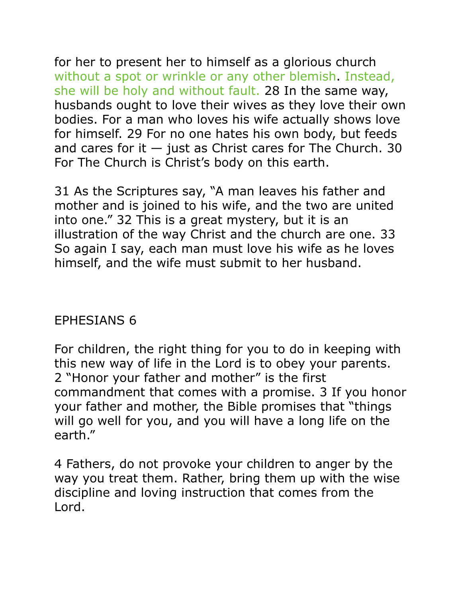for her to present her to himself as a glorious church without a spot or wrinkle or any other blemish. Instead, she will be holy and without fault. 28 In the same way, husbands ought to love their wives as they love their own bodies. For a man who loves his wife actually shows love for himself. 29 For no one hates his own body, but feeds and cares for it  $-$  just as Christ cares for The Church. 30 For The Church is Christ's body on this earth.

31 As the Scriptures say, "A man leaves his father and mother and is joined to his wife, and the two are united into one." 32 This is a great mystery, but it is an illustration of the way Christ and the church are one. 33 So again I say, each man must love his wife as he loves himself, and the wife must submit to her husband.

# EPHESIANS 6

For children, the right thing for you to do in keeping with this new way of life in the Lord is to obey your parents. 2 "Honor your father and mother" is the first commandment that comes with a promise. 3 If you honor your father and mother, the Bible promises that "things will go well for you, and you will have a long life on the earth."

4 Fathers, do not provoke your children to anger by the way you treat them. Rather, bring them up with the wise discipline and loving instruction that comes from the Lord.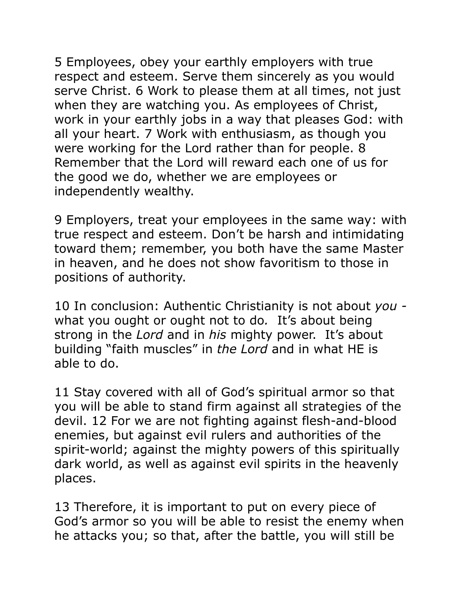5 Employees, obey your earthly employers with true respect and esteem. Serve them sincerely as you would serve Christ. 6 Work to please them at all times, not just when they are watching you. As employees of Christ, work in your earthly jobs in a way that pleases God: with all your heart. 7 Work with enthusiasm, as though you were working for the Lord rather than for people. 8 Remember that the Lord will reward each one of us for the good we do, whether we are employees or independently wealthy.

9 Employers, treat your employees in the same way: with true respect and esteem. Don't be harsh and intimidating toward them; remember, you both have the same Master in heaven, and he does not show favoritism to those in positions of authority.

10 In conclusion: Authentic Christianity is not about *you*  what you ought or ought not to do*.* It's about being strong in the *Lord* and in *his* mighty power. It's about building "faith muscles" in *the Lord* and in what HE is able to do.

11 Stay covered with all of God's spiritual armor so that you will be able to stand firm against all strategies of the devil. 12 For we are not fighting against flesh-and-blood enemies, but against evil rulers and authorities of the spirit-world; against the mighty powers of this spiritually dark world, as well as against evil spirits in the heavenly places.

13 Therefore, it is important to put on every piece of God's armor so you will be able to resist the enemy when he attacks you; so that, after the battle, you will still be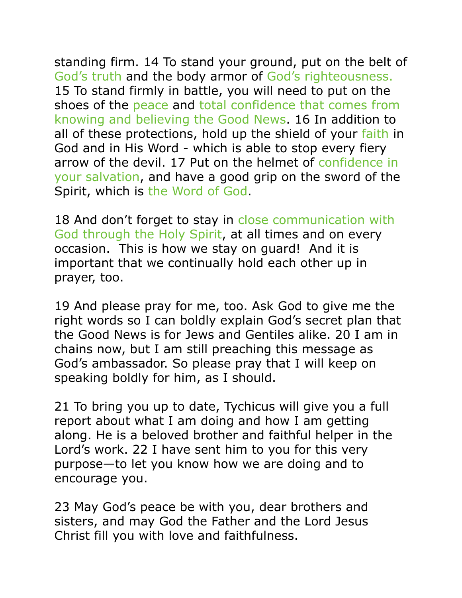standing firm. 14 To stand your ground, put on the belt of God's truth and the body armor of God's righteousness. 15 To stand firmly in battle, you will need to put on the shoes of the peace and total confidence that comes from knowing and believing the Good News. 16 In addition to all of these protections, hold up the shield of your faith in God and in His Word - which is able to stop every fiery arrow of the devil. 17 Put on the helmet of confidence in your salvation, and have a good grip on the sword of the Spirit, which is the Word of God.

18 And don't forget to stay in close communication with God through the Holy Spirit, at all times and on every occasion. This is how we stay on guard! And it is important that we continually hold each other up in prayer, too.

19 And please pray for me, too. Ask God to give me the right words so I can boldly explain God's secret plan that the Good News is for Jews and Gentiles alike. 20 I am in chains now, but I am still preaching this message as God's ambassador. So please pray that I will keep on speaking boldly for him, as I should.

21 To bring you up to date, Tychicus will give you a full report about what I am doing and how I am getting along. He is a beloved brother and faithful helper in the Lord's work. 22 I have sent him to you for this very purpose—to let you know how we are doing and to encourage you.

23 May God's peace be with you, dear brothers and sisters, and may God the Father and the Lord Jesus Christ fill you with love and faithfulness.